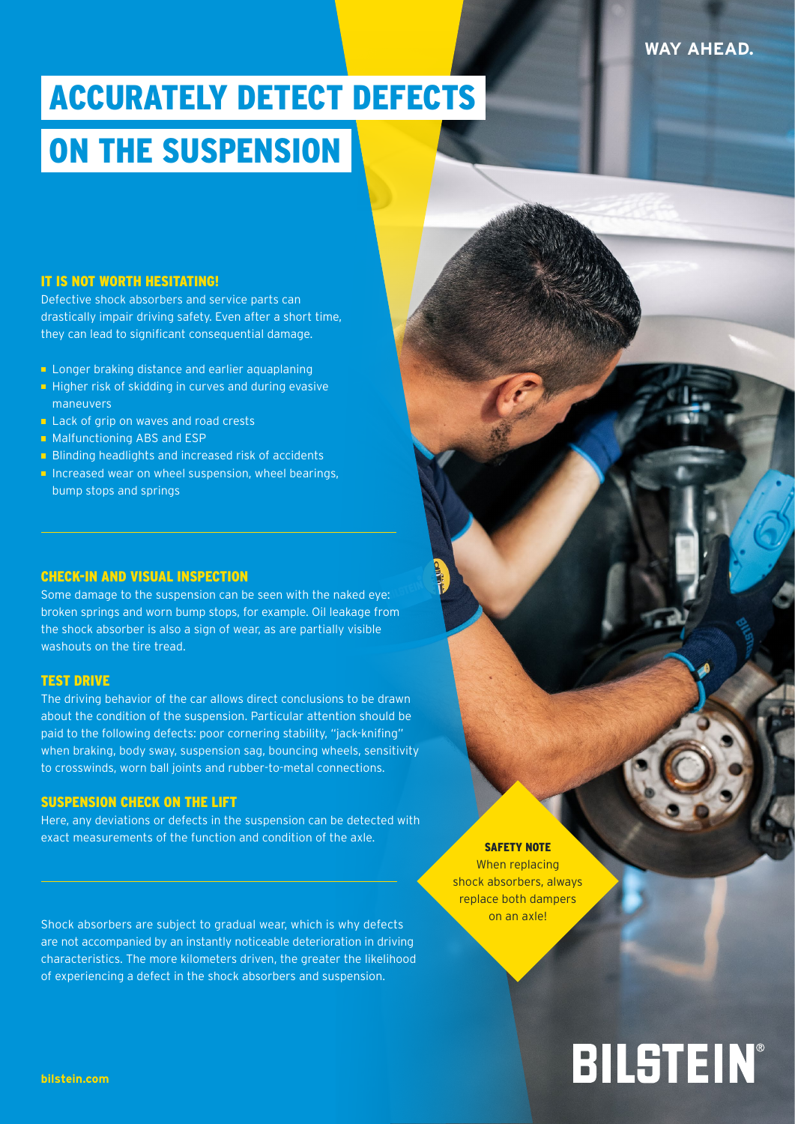## ACCURATELY DETECT DEFECTS ON THE SUSPENSION

#### IT IS NOT WORTH HESITATING!

Defective shock absorbers and service parts can drastically impair driving safety. Even after a short time, they can lead to significant consequential damage.

- **Longer braking distance and earlier aquaplaning**
- $\blacksquare$  Higher risk of skidding in curves and during evasive maneuvers
- **Lack of grip on waves and road crests**
- Malfunctioning ABS and ESP
- **Blinding headlights and increased risk of accidents**
- $\blacksquare$  Increased wear on wheel suspension, wheel bearings, bump stops and springs

#### CHECK-IN AND VISUAL INSPECTION

Some damage to the suspension can be seen with the naked eye: broken springs and worn bump stops, for example. Oil leakage from the shock absorber is also a sign of wear, as are partially visible washouts on the tire tread.

#### TEST DRIVE

The driving behavior of the car allows direct conclusions to be drawn about the condition of the suspension. Particular attention should be paid to the following defects: poor cornering stability, "jack-knifing" when braking, body sway, suspension sag, bouncing wheels, sensitivity to crosswinds, worn ball joints and rubber-to-metal connections.

#### SUSPENSION CHECK ON THE LIFT

Here, any deviations or defects in the suspension can be detected with exact measurements of the function and condition of the axle.

Shock absorbers are subject to gradual wear, which is why defects are not accompanied by an instantly noticeable deterioration in driving characteristics. The more kilometers driven, the greater the likelihood of experiencing a defect in the shock absorbers and suspension.

### SAFETY NOTE

When replacing shock absorbers, always replace both dampers on an axle!

# BILSTEIN®